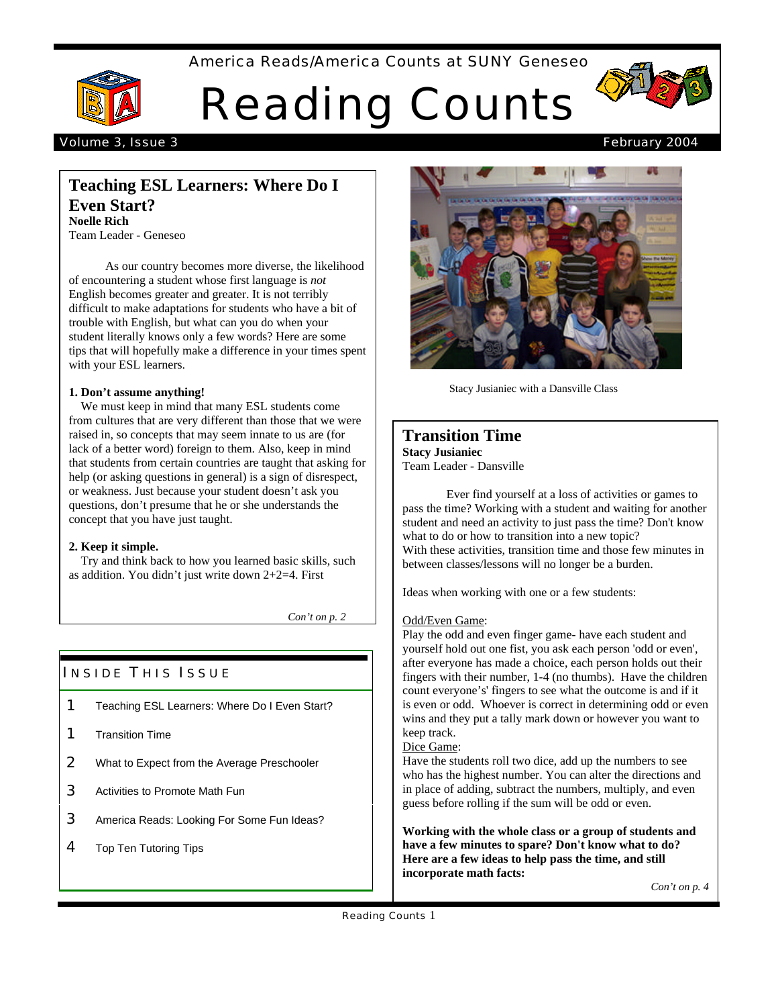America Reads/America Counts at SUNY Geneseo



# Reading Counts



## Volume 3, Issue 3 February 2004

## **Teaching ESL Learners: Where Do I Even Start? Noelle Rich**

Team Leader - Geneseo

 As our country becomes more diverse, the likelihood of encountering a student whose first language is *not* English becomes greater and greater. It is not terribly difficult to make adaptations for students who have a bit of trouble with English, but what can you do when your student literally knows only a few words? Here are some tips that will hopefully make a difference in your times spent with your ESL learners.

#### **1. Don't assume anything!**

 We must keep in mind that many ESL students come from cultures that are very different than those that we were raised in, so concepts that may seem innate to us are (for lack of a better word) foreign to them. Also, keep in mind that students from certain countries are taught that asking for help (or asking questions in general) is a sign of disrespect, or weakness. Just because your student doesn't ask you questions, don't presume that he or she understands the concept that you have just taught.

## **2. Keep it simple.**

 Try and think back to how you learned basic skills, such as addition. You didn't just write down 2+2=4. First

*Con't on p. 2*

## **INSIDE THIS ISSUE**

- 1 Teaching ESL Learners: Where Do I Even Start?
- 1 Transition Time
- 2 What to Expect from the Average Preschooler
- **3** Activities to Promote Math Fun
- **3** America Reads: Looking For Some Fun Ideas?
- 4 Top Ten Tutoring Tips



Stacy Jusianiec with a Dansville Class

## **Transition Time Stacy Jusianiec** Team Leader - Dansville

Ever find yourself at a loss of activities or games to pass the time? Working with a student and waiting for another student and need an activity to just pass the time? Don't know what to do or how to transition into a new topic? With these activities, transition time and those few minutes in between classes/lessons will no longer be a burden.

Ideas when working with one or a few students:

## Odd/Even Game:

Play the odd and even finger game- have each student and yourself hold out one fist, you ask each person 'odd or even', after everyone has made a choice, each person holds out their fingers with their number, 1-4 (no thumbs). Have the children count everyone's' fingers to see what the outcome is and if it is even or odd. Whoever is correct in determining odd or even wins and they put a tally mark down or however you want to keep track.

## Dice Game:

Have the students roll two dice, add up the numbers to see who has the highest number. You can alter the directions and in place of adding, subtract the numbers, multiply, and even guess before rolling if the sum will be odd or even.

**Working with the whole class or a group of students and have a few minutes to spare? Don't know what to do? Here are a few ideas to help pass the time, and still incorporate math facts:**

*Con't on p. 4*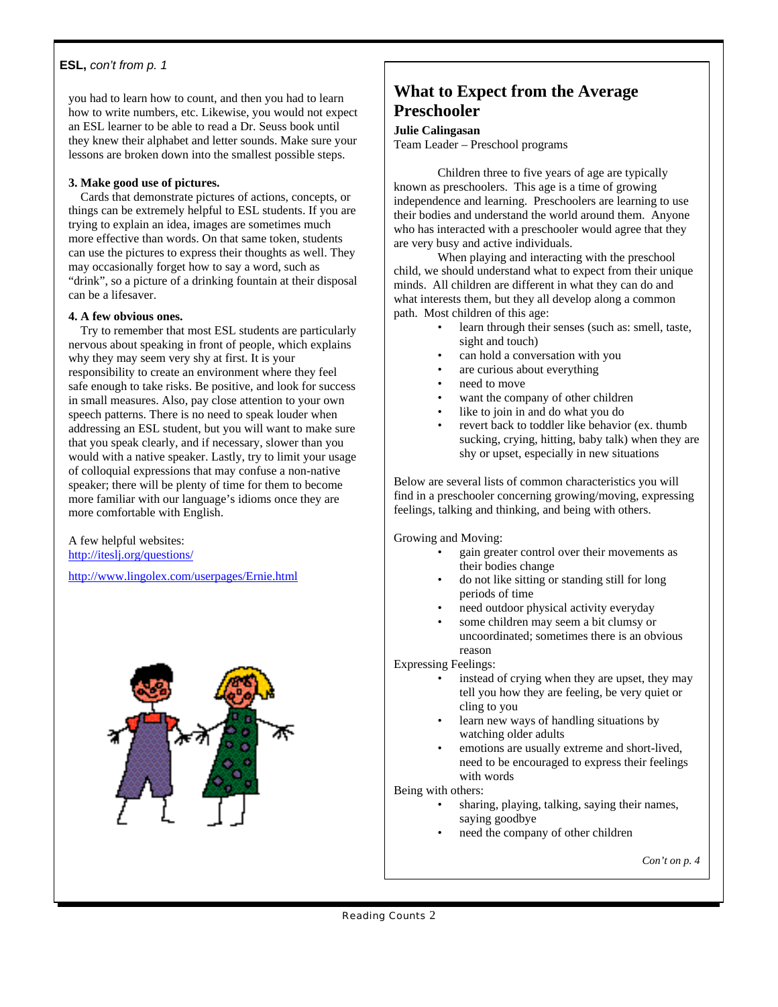## **ESL,** *con't from p. 1*

you had to learn how to count, and then you had to learn how to write numbers, etc. Likewise, you would not expect an ESL learner to be able to read a Dr. Seuss book until they knew their alphabet and letter sounds. Make sure your lessons are broken down into the smallest possible steps.

## **3. Make good use of pictures.**

 Cards that demonstrate pictures of actions, concepts, or things can be extremely helpful to ESL students. If you are trying to explain an idea, images are sometimes much more effective than words. On that same token, students can use the pictures to express their thoughts as well. They may occasionally forget how to say a word, such as "drink", so a picture of a drinking fountain at their disposal can be a lifesaver.

#### **4. A few obvious ones.**

Try to remember that most ESL students are particularly nervous about speaking in front of people, which explains why they may seem very shy at first. It is your responsibility to create an environment where they feel safe enough to take risks. Be positive, and look for success in small measures. Also, pay close attention to your own speech patterns. There is no need to speak louder when addressing an ESL student, but you will want to make sure that you speak clearly, and if necessary, slower than you would with a native speaker. Lastly, try to limit your usage of colloquial expressions that may confuse a non-native speaker; there will be plenty of time for them to become more familiar with our language's idioms once they are more comfortable with English.

A few helpful websites: http://iteslj.org/questions/

http://www.lingolex.com/userpages/Ernie.html



## **What to Expect from the Average Preschooler**

#### **Julie Calingasan**

Team Leader – Preschool programs

Children three to five years of age are typically known as preschoolers. This age is a time of growing independence and learning. Preschoolers are learning to use their bodies and understand the world around them. Anyone who has interacted with a preschooler would agree that they are very busy and active individuals.

When playing and interacting with the preschool child, we should understand what to expect from their unique minds. All children are different in what they can do and what interests them, but they all develop along a common path. Most children of this age:

- learn through their senses (such as: smell, taste, sight and touch)
	- can hold a conversation with you
	- are curious about everything
	- need to move
	- want the company of other children
	- like to join in and do what you do
	- revert back to toddler like behavior (ex. thumb sucking, crying, hitting, baby talk) when they are shy or upset, especially in new situations

Below are several lists of common characteristics you will find in a preschooler concerning growing/moving, expressing feelings, talking and thinking, and being with others.

Growing and Moving:

- gain greater control over their movements as their bodies change
- do not like sitting or standing still for long periods of time
- need outdoor physical activity everyday
- some children may seem a bit clumsy or uncoordinated; sometimes there is an obvious reason

Expressing Feelings:

- instead of crying when they are upset, they may tell you how they are feeling, be very quiet or cling to you
- learn new ways of handling situations by watching older adults
- emotions are usually extreme and short-lived, need to be encouraged to express their feelings with words

Being with others:

- sharing, playing, talking, saying their names, saying goodbye
- need the company of other children

*Con't on p. 4*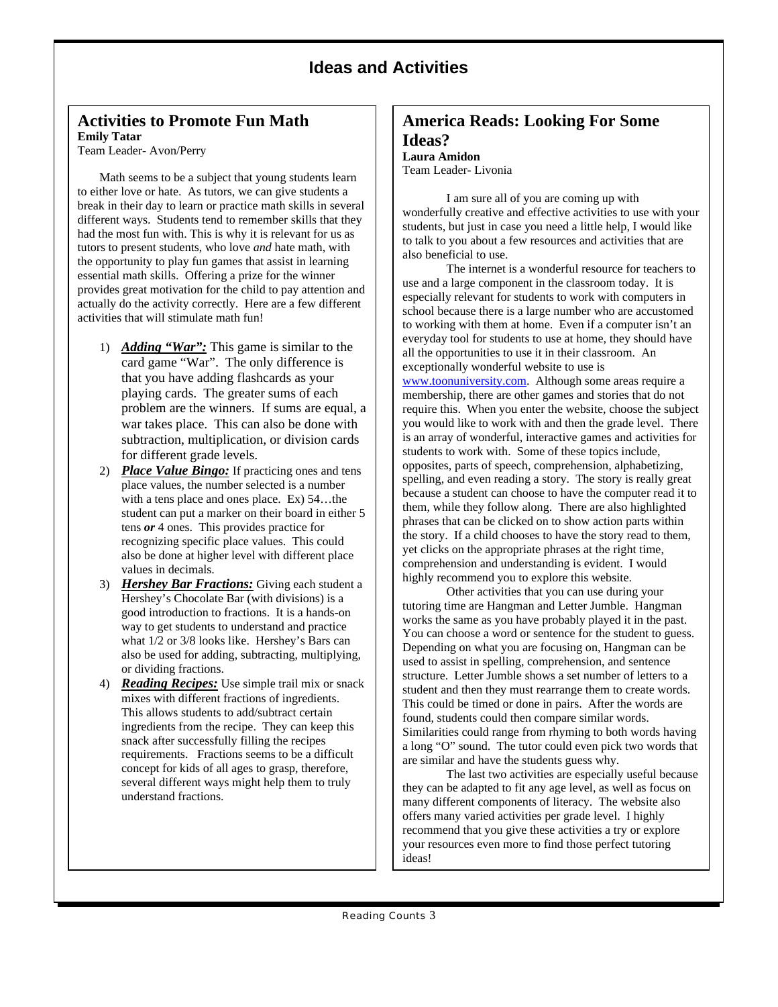## **Ideas and Activities**

## **Activities to Promote Fun Math Emily Tatar**

Team Leader- Avon/Perry

Math seems to be a subject that young students learn to either love or hate. As tutors, we can give students a break in their day to learn or practice math skills in several different ways. Students tend to remember skills that they had the most fun with. This is why it is relevant for us as tutors to present students, who love *and* hate math, with the opportunity to play fun games that assist in learning essential math skills. Offering a prize for the winner provides great motivation for the child to pay attention and actually do the activity correctly. Here are a few different activities that will stimulate math fun!

- 1) *Adding "War":* This game is similar to the card game "War". The only difference is that you have adding flashcards as your playing cards. The greater sums of each problem are the winners. If sums are equal, a war takes place. This can also be done with subtraction, multiplication, or division cards for different grade levels.
- 2) *Place Value Bingo:* If practicing ones and tens place values, the number selected is a number with a tens place and ones place. Ex) 54…the student can put a marker on their board in either 5 tens *or* 4 ones. This provides practice for recognizing specific place values. This could also be done at higher level with different place values in decimals.
- 3) *Hershey Bar Fractions:* Giving each student a Hershey's Chocolate Bar (with divisions) is a good introduction to fractions. It is a hands-on way to get students to understand and practice what 1/2 or 3/8 looks like. Hershey's Bars can also be used for adding, subtracting, multiplying, or dividing fractions.
- 4) *Reading Recipes:* Use simple trail mix or snack mixes with different fractions of ingredients. This allows students to add/subtract certain ingredients from the recipe. They can keep this snack after successfully filling the recipes requirements. Fractions seems to be a difficult concept for kids of all ages to grasp, therefore, several different ways might help them to truly understand fractions.

## **America Reads: Looking For Some Ideas?**

**Laura Amidon** Team Leader- Livonia

I am sure all of you are coming up with wonderfully creative and effective activities to use with your students, but just in case you need a little help, I would like to talk to you about a few resources and activities that are also beneficial to use.

The internet is a wonderful resource for teachers to use and a large component in the classroom today. It is especially relevant for students to work with computers in school because there is a large number who are accustomed to working with them at home. Even if a computer isn't an everyday tool for students to use at home, they should have all the opportunities to use it in their classroom. An exceptionally wonderful website to use is www.toonuniversity.com. Although some areas require a membership, there are other games and stories that do not require this. When you enter the website, choose the subject you would like to work with and then the grade level. There is an array of wonderful, interactive games and activities for students to work with. Some of these topics include, opposites, parts of speech, comprehension, alphabetizing, spelling, and even reading a story. The story is really great because a student can choose to have the computer read it to them, while they follow along. There are also highlighted phrases that can be clicked on to show action parts within the story. If a child chooses to have the story read to them, yet clicks on the appropriate phrases at the right time, comprehension and understanding is evident. I would highly recommend you to explore this website.

Other activities that you can use during your tutoring time are Hangman and Letter Jumble. Hangman works the same as you have probably played it in the past. You can choose a word or sentence for the student to guess. Depending on what you are focusing on, Hangman can be used to assist in spelling, comprehension, and sentence structure. Letter Jumble shows a set number of letters to a student and then they must rearrange them to create words. This could be timed or done in pairs. After the words are found, students could then compare similar words. Similarities could range from rhyming to both words having a long "O" sound. The tutor could even pick two words that are similar and have the students guess why.

The last two activities are especially useful because they can be adapted to fit any age level, as well as focus on many different components of literacy. The website also offers many varied activities per grade level. I highly recommend that you give these activities a try or explore your resources even more to find those perfect tutoring ideas!